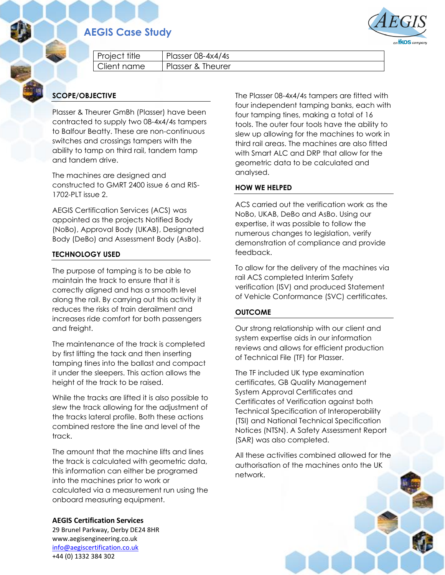## **AEGIS Case Study**



|  | Proiect title | Plasser $08-4x4/4s$ |
|--|---------------|---------------------|
|  | l Client name | Plasser & Theurer   |

### **SCOPE/OBJECTIVE**

Plasser & Theurer GmBh (Plasser) have been contracted to supply two 08-4x4/4s tampers to Balfour Beatty. These are non-continuous switches and crossings tampers with the ability to tamp on third rail, tandem tamp and tandem drive.

The machines are designed and constructed to GMRT 2400 issue 6 and RIS-1702-PLT issue 2.

AEGIS Certification Services (ACS) was appointed as the projects Notified Body (NoBo), Approval Body (UKAB), Designated Body (DeBo) and Assessment Body (AsBo).

#### **TECHNOLOGY USED**

The purpose of tamping is to be able to maintain the track to ensure that it is correctly aligned and has a smooth level along the rail. By carrying out this activity it reduces the risks of train derailment and increases ride comfort for both passengers and freight.

The maintenance of the track is completed by first lifting the tack and then inserting tamping tines into the ballast and compact it under the sleepers. This action allows the height of the track to be raised.

While the tracks are lifted it is also possible to slew the track allowing for the adjustment of the tracks lateral profile. Both these actions combined restore the line and level of the track.

The amount that the machine lifts and lines the track is calculated with geometric data, this information can either be programed into the machines prior to work or calculated via a measurement run using the onboard measuring equipment.

**AEGIS Certification Services**

29 Brunel Parkway, Derby DE24 8HR www.aegisengineering.co.uk [info@aegiscertification.co.uk](mailto:info@aegiscertification.co.uk) +44 (0) 1332 384 302

The Plasser 08-4x4/4s tampers are fitted with four independent tamping banks, each with four tamping tines, making a total of 16 tools. The outer four tools have the ability to slew up allowing for the machines to work in third rail areas. The machines are also fitted with Smart ALC and DRP that allow for the geometric data to be calculated and analysed.

#### **HOW WE HELPED**

ACS carried out the verification work as the NoBo, UKAB, DeBo and AsBo. Using our expertise, it was possible to follow the numerous changes to legislation, verify demonstration of compliance and provide feedback.

To allow for the delivery of the machines via rail ACS completed Interim Safety verification (ISV) and produced Statement of Vehicle Conformance (SVC) certificates.

#### **OUTCOME**

Our strong relationship with our client and system expertise aids in our information reviews and allows for efficient production of Technical File (TF) for Plasser.

The TF included UK type examination certificates, GB Quality Management System Approval Certificates and Certificates of Verification against both Technical Specification of Interoperability (TSI) and National Technical Specification Notices (NTSN). A Safety Assessment Report (SAR) was also completed.

All these activities combined allowed for the authorisation of the machines onto the UK network.